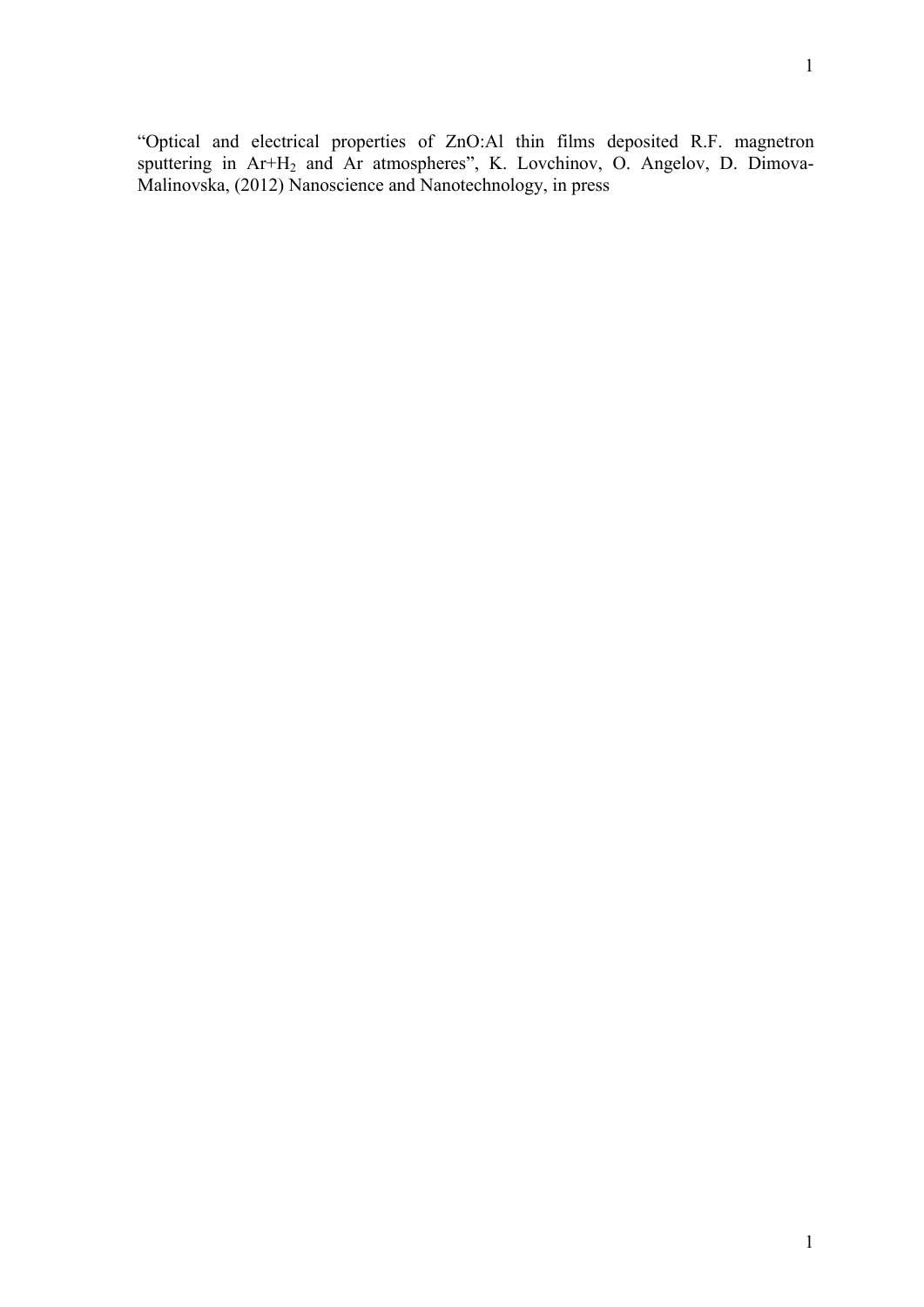"Optical and electrical properties of ZnO:Al thin films deposited R.F. magnetron sputtering in Ar+H<sub>2</sub> and Ar atmospheres", K. Lovchinov, O. Angelov, D. Dimova-Malinovska, (2012) Nanoscience and Nanotechnology, in press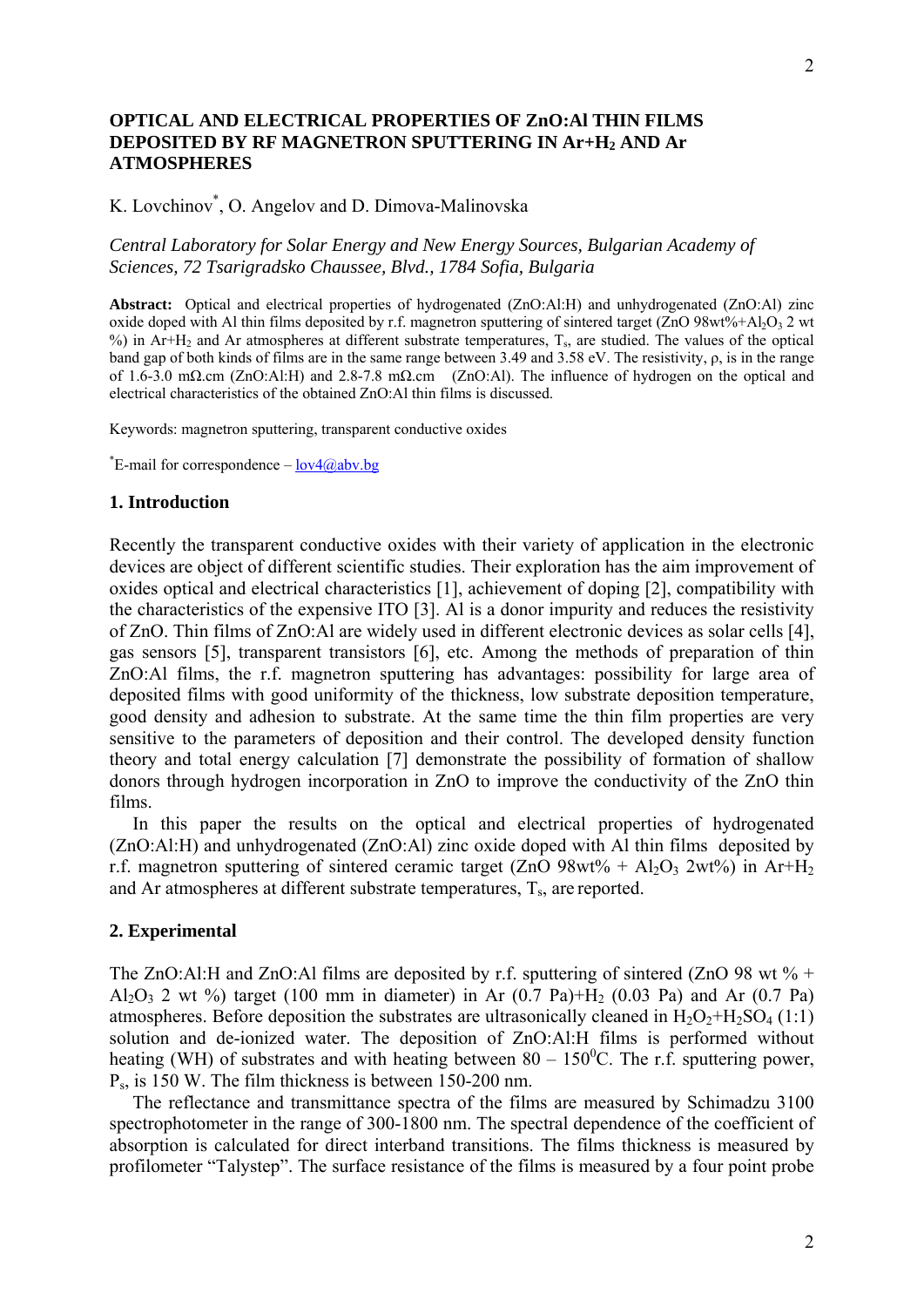## **OPTICAL AND ELECTRICAL PROPERTIES OF ZnO:Al THIN FILMS DEPOSITED BY RF MAGNETRON SPUTTERING IN Ar+H2 AND Ar ATMOSPHERES**

K. Lovchinov\* , O. Angelov and D. Dimova-Malinovska

## *Central Laboratory for Solar Energy and New Energy Sources, Bulgarian Academy of Sciences, 72 Tsarigradsko Chaussee, Blvd., 1784 Sofia, Bulgaria*

**Abstract:** Optical and electrical properties of hydrogenated (ZnO:Al:H) and unhydrogenated (ZnO:Al) zinc oxide doped with Al thin films deposited by r.f. magnetron sputtering of sintered target (ZnO  $98wt% + AbO<sub>3</sub>$  2 wt  $\%$ ) in Ar+H<sub>2</sub> and Ar atmospheres at different substrate temperatures. T<sub>s</sub>, are studied. The values of the optical band gap of both kinds of films are in the same range between 3.49 and 3.58 eV. The resistivity, ρ, is in the range of 1.6-3.0 mΩ.cm (ZnO:Al:H) and 2.8-7.8 mΩ.cm (ZnO:Al). The influence of hydrogen on the optical and electrical characteristics of the obtained ZnO:Al thin films is discussed.

Keywords: magnetron sputtering, transparent conductive oxides

<sup>\*</sup>E-mail for correspondence  $-\frac{low4(2)abv.bg}{low4}$ 

## **1. Introduction**

Recently the transparent conductive oxides with their variety of application in the electronic devices are object of different scientific studies. Their exploration has the aim improvement of oxides optical and electrical characteristics [1], achievement of doping [2], compatibility with the characteristics of the expensive ITO [3]. Al is a donor impurity and reduces the resistivity of ZnO. Thin films of ZnO:Al are widely used in different electronic devices as solar cells [4], gas sensors [5], transparent transistors [6], etc. Among the methods of preparation of thin ZnO:Al films, the r.f. magnetron sputtering has advantages: possibility for large area of deposited films with good uniformity of the thickness, low substrate deposition temperature, good density and adhesion to substrate. At the same time the thin film properties are very sensitive to the parameters of deposition and their control. The developed density function theory and total energy calculation [7] demonstrate the possibility of formation of shallow donors through hydrogen incorporation in ZnO to improve the conductivity of the ZnO thin films.

 In this paper the results on the optical and electrical properties of hydrogenated (ZnO:Al:H) and unhydrogenated (ZnO:Al) zinc oxide doped with Al thin films deposited by r.f. magnetron sputtering of sintered ceramic target  $(ZnO 98wt\% + Al_2O_3 2wt\%)$  in Ar+H<sub>2</sub> and Ar atmospheres at different substrate temperatures,  $T_s$ , are reported.

## **2. Experimental**

The ZnO:Al:H and ZnO:Al films are deposited by r.f. sputtering of sintered (ZnO 98 wt  $\%$  + Al<sub>2</sub>O<sub>3</sub> 2 wt  $\%$ ) target (100 mm in diameter) in Ar (0.7 Pa)+H<sub>2</sub> (0.03 Pa) and Ar (0.7 Pa) atmospheres. Before deposition the substrates are ultrasonically cleaned in  $H_2O_2 + H_2SO_4$  (1:1) solution and de-ionized water. The deposition of ZnO:Al:H films is performed without heating (WH) of substrates and with heating between  $80 - 150^{\circ}$ C. The r.f. sputtering power, Ps, is 150 W. The film thickness is between 150-200 nm.

 The reflectance and transmittance spectra of the films are measured by Schimadzu 3100 spectrophotometer in the range of 300-1800 nm. The spectral dependence of the coefficient of absorption is calculated for direct interband transitions. The films thickness is measured by profilometer "Talystep". The surface resistance of the films is measured by a four point probe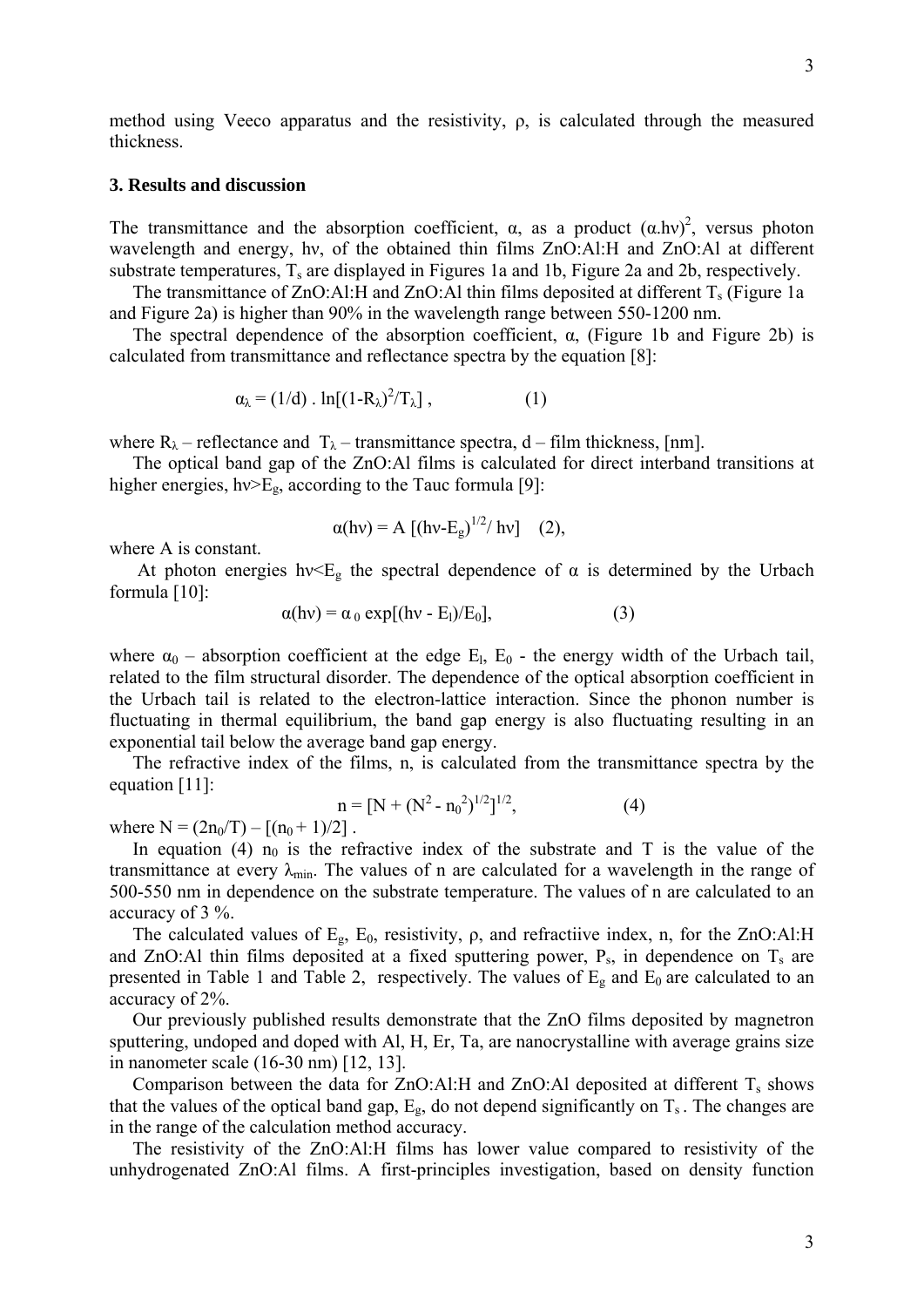method using Veeco apparatus and the resistivity,  $\rho$ , is calculated through the measured thickness.

#### **3. Results and discussion**

The transmittance and the absorption coefficient,  $\alpha$ , as a product  $(\alpha \cdot hv)^2$ , versus photon wavelength and energy, hν, of the obtained thin films ZnO:Al:H and ZnO:Al at different substrate temperatures,  $T_s$  are displayed in Figures 1a and 1b, Figure 2a and 2b, respectively.

The transmittance of  $ZnO:AI:H$  and  $ZnO:AI$  thin films deposited at different  $T_s$  (Figure 1a and Figure 2a) is higher than 90% in the wavelength range between 550-1200 nm.

The spectral dependence of the absorption coefficient,  $\alpha$ , (Figure 1b and Figure 2b) is calculated from transmittance and reflectance spectra by the equation [8]:

$$
\alpha_{\lambda} = (1/d) \cdot \ln[(1-R_{\lambda})^2/T_{\lambda}], \qquad (1)
$$

where  $R_{\lambda}$  – reflectance and  $T_{\lambda}$  – transmittance spectra, d – film thickness, [nm].

 The optical band gap of the ZnO:Al films is calculated for direct interband transitions at higher energies,  $hv>E_g$ , according to the Tauc formula [9]:

$$
\alpha(hv) = A [(hv-E_g)^{1/2}/hv]
$$
 (2),

where A is constant.

At photon energies hv $\leq E_{\rm g}$  the spectral dependence of  $\alpha$  is determined by the Urbach formula [10]:

$$
\alpha(hv) = \alpha_0 \exp[(hv - E_l)/E_0], \qquad (3)
$$

where  $\alpha_0$  – absorption coefficient at the edge E<sub>l</sub>, E<sub>0</sub> - the energy width of the Urbach tail, related to the film structural disorder. The dependence of the optical absorption coefficient in the Urbach tail is related to the electron-lattice interaction. Since the phonon number is fluctuating in thermal equilibrium, the band gap energy is also fluctuating resulting in an exponential tail below the average band gap energy.

 The refractive index of the films, n, is calculated from the transmittance spectra by the equation [11]:

$$
n = [N + (N2 - n02)1/2]1/2,
$$
 (4)

where  $N = (2n_0/T) - [(n_0 + 1)/2]$ .

In equation (4)  $n_0$  is the refractive index of the substrate and T is the value of the transmittance at every  $\lambda_{min}$ . The values of n are calculated for a wavelength in the range of 500-550 nm in dependence on the substrate temperature. The values of n are calculated to an accuracy of 3 %.

The calculated values of  $E_g$ ,  $E_0$ , resistivity,  $\rho$ , and refractiive index, n, for the ZnO:Al:H and ZnO:Al thin films deposited at a fixed sputtering power,  $P_s$ , in dependence on  $T_s$  are presented in Table 1 and Table 2, respectively. The values of  $E<sub>g</sub>$  and  $E<sub>0</sub>$  are calculated to an accuracy of 2%.

 Our previously published results demonstrate that the ZnO films deposited by magnetron sputtering, undoped and doped with Al, H, Er, Ta, are nanocrystalline with average grains size in nanometer scale (16-30 nm) [12, 13].

Comparison between the data for  $ZnO:AI:H$  and  $ZnO:AI$  deposited at different  $T_s$  shows that the values of the optical band gap,  $E_{g}$ , do not depend significantly on  $T_s$ . The changes are in the range of the calculation method accuracy.

 The resistivity of the ZnO:Al:H films has lower value compared to resistivity of the unhydrogenated ZnO:Al films. A first-principles investigation, based on density function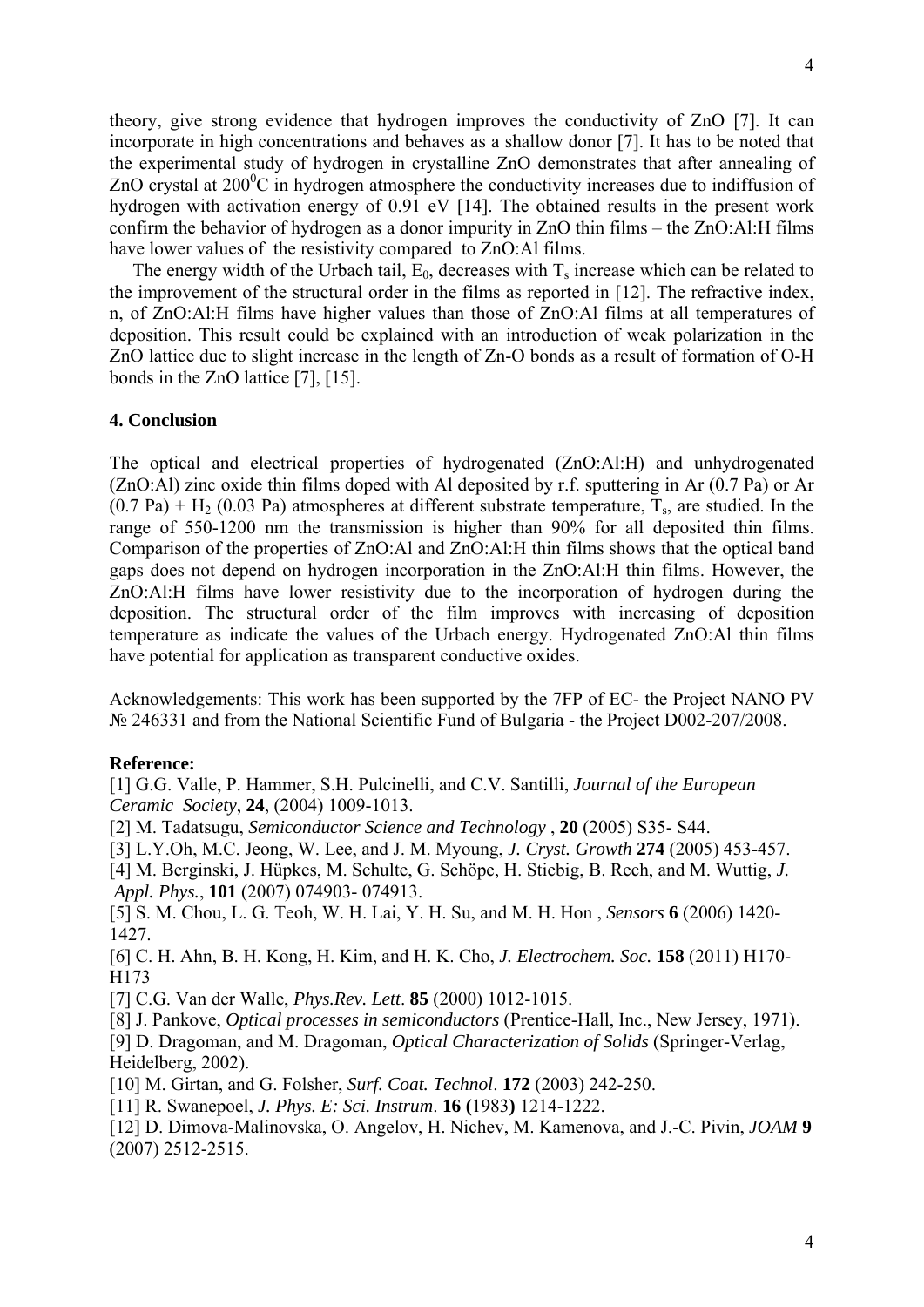theory, give strong evidence that hydrogen improves the conductivity of ZnO [7]. It can incorporate in high concentrations and behaves as a shallow donor [7]. It has to be noted that the experimental study of hydrogen in crystalline ZnO demonstrates that after annealing of ZnO crystal at  $200^{\circ}$ C in hydrogen atmosphere the conductivity increases due to indiffusion of hydrogen with activation energy of 0.91 eV [14]. The obtained results in the present work confirm the behavior of hydrogen as a donor impurity in ZnO thin films – the ZnO:Al:H films have lower values of the resistivity compared to ZnO:Al films.

The energy width of the Urbach tail,  $E_0$ , decreases with  $T_s$  increase which can be related to the improvement of the structural order in the films as reported in [12]. The refractive index, n, of ZnO:Al:H films have higher values than those of ZnO:Al films at all temperatures of deposition. This result could be explained with an introduction of weak polarization in the ZnO lattice due to slight increase in the length of Zn-O bonds as a result of formation of O-H bonds in the ZnO lattice [7], [15].

# **4. Conclusion**

The optical and electrical properties of hydrogenated (ZnO:Al:H) and unhydrogenated (ZnO:Al) zinc oxide thin films doped with Al deposited by r.f. sputtering in Ar (0.7 Pa) or Ar  $(0.7 \text{ Pa}) + \text{H}_2$  (0.03 Pa) atmospheres at different substrate temperature, T<sub>s</sub>, are studied. In the range of 550-1200 nm the transmission is higher than 90% for all deposited thin films. Comparison of the properties of ZnO:Al and ZnO:Al:H thin films shows that the optical band gaps does not depend on hydrogen incorporation in the ZnO:Al:H thin films. However, the ZnO:Al:H films have lower resistivity due to the incorporation of hydrogen during the deposition. The structural order of the film improves with increasing of deposition temperature as indicate the values of the Urbach energy. Hydrogenated ZnO:Al thin films have potential for application as transparent conductive oxides.

Acknowledgements: This work has been supported by the 7FP of EC- the Project NANO PV № 246331 and from the National Scientific Fund of Bulgaria - the Project D002-207/2008.

#### **Reference:**

[1] G.G. Valle, P. Hammer, S.H. Pulcinelli, and C.V. Santilli, *Journal of the European Ceramic Society*, **24**, (2004) 1009-1013.

[2] M. Tadatsugu, *Semiconductor Science and Technology* , **20** (2005) S35- S44.

[3] L.Y.Oh, M.C. Jeong, W. Lee, and J. M. Myoung, *J. Cryst. Growth* **274** (2005) 453-457.

[4] M. Berginski, J. Hüpkes, M. Schulte, G. Schöpe, H. Stiebig, B. Rech, and M. Wuttig, *J. Appl. Phys.*, **101** (2007) 074903- 074913.

[5] S. M. Chou, L. G. Teoh, W. H. Lai, Y. H. Su, and M. H. Hon , *Sensors* **6** (2006) 1420- 1427.

[6] C. H. Ahn, B. H. Kong, H. Kim, and H. K. Cho, *J. Electrochem. Soc.* **158** (2011) H170- H173

[7] C.G. Van der Walle, *Phys.Rev. Lett*. **85** (2000) 1012-1015.

[8] J. Pankove, *Optical processes in semiconductors* (Prentice-Hall, Inc., New Jersey, 1971). [9] D. Dragoman, and M. Dragoman, *Optical Characterization of Solids* (Springer-Verlag, Heidelberg, 2002).

[10] M. Girtan, and G. Folsher, *Surf. Coat. Technol*. **172** (2003) 242-250.

[11] R. Swanepoel, *J. Phys. E: Sci. Instrum*. **16 (**1983**)** 1214-1222.

[12] D. Dimova-Malinovska, O. Angelov, H. Nichev, M. Kamenova, and J.-C. Pivin, *JOAM* **9** (2007) 2512-2515.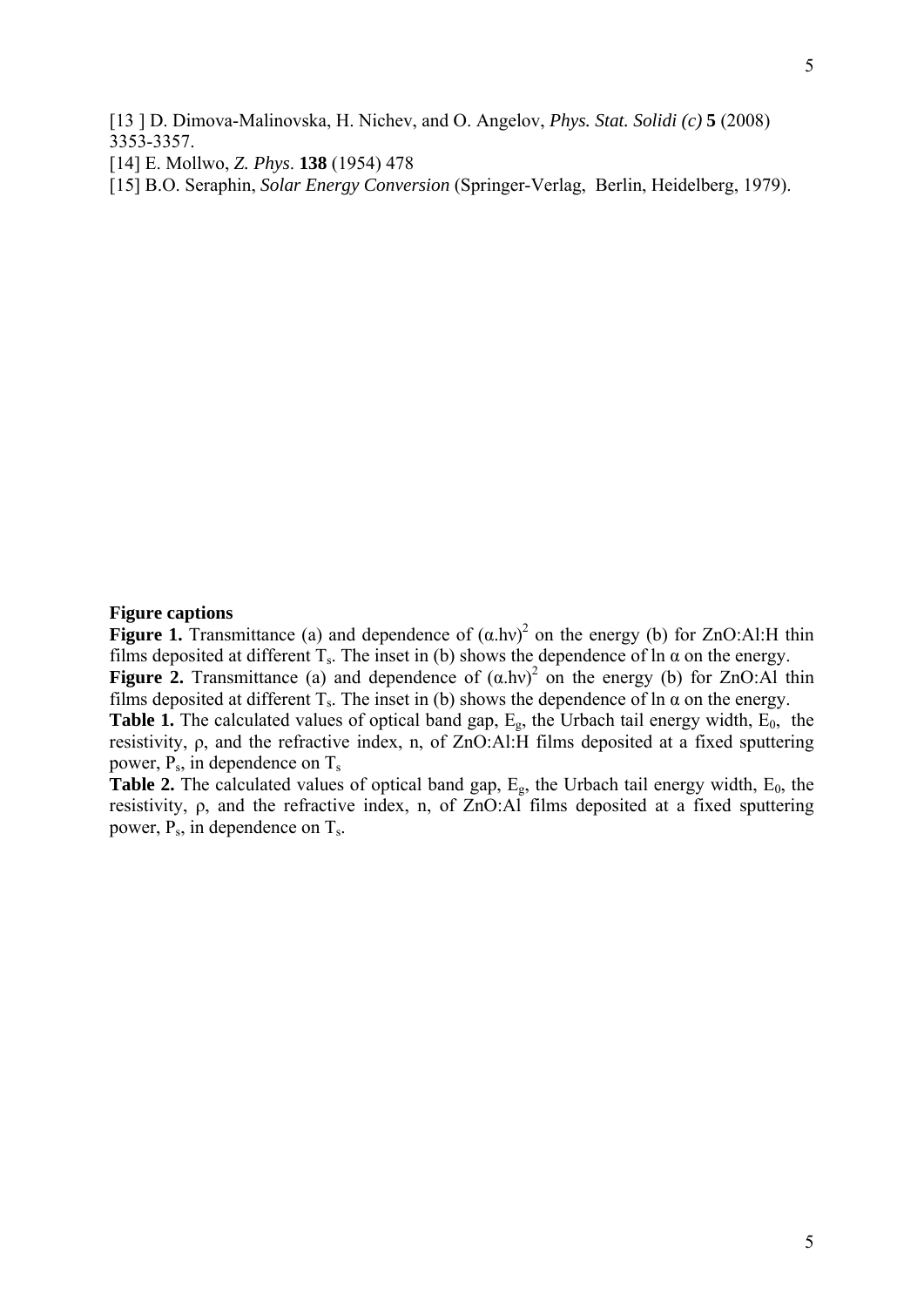[13 ] D. Dimova-Malinovska, H. Nichev, and O. Angelov, *Phys. Stat. Solidi (c)* **5** (2008) 3353-3357.

[14] E. Mollwo, *Z. Phys*. **138** (1954) 478

[15] B.O. Seraphin, *Solar Energy Conversion* (Springer-Verlag, Berlin, Heidelberg, 1979).

# **Figure captions**

**Figure 1.** Transmittance (a) and dependence of  $(\alpha \cdot h\nu)^2$  on the energy (b) for ZnO:Al:H thin films deposited at different  $T_s$ . The inset in (b) shows the dependence of ln  $\alpha$  on the energy. **Figure 2.** Transmittance (a) and dependence of  $(\alpha \cdot h\nu)^2$  on the energy (b) for ZnO:Al thin films deposited at different  $T_s$ . The inset in (b) shows the dependence of ln  $\alpha$  on the energy. **Table 1.** The calculated values of optical band gap,  $E_g$ , the Urbach tail energy width,  $E_0$ , the resistivity, ρ, and the refractive index, n, of ZnO:Al:H films deposited at a fixed sputtering

power,  $P_s$ , in dependence on  $T_s$ 

**Table 2.** The calculated values of optical band gap,  $E_g$ , the Urbach tail energy width,  $E_0$ , the resistivity, ρ, and the refractive index, n, of ZnO:Al films deposited at a fixed sputtering power,  $P_s$ , in dependence on  $T_s$ .